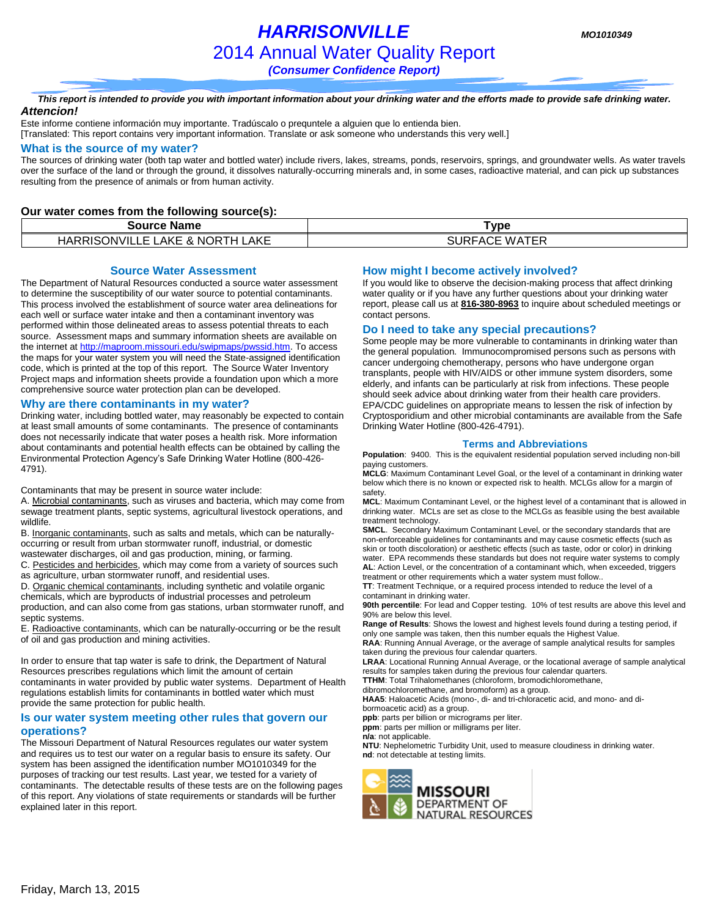# *HARRISONVILLE MO1010349* 2014 Annual Water Quality Report

*(Consumer Confidence Report)*

#### *This report is intended to provide you with important information about your drinking water and the efforts made to provide safe drinking water. Attencion!*

Este informe contiene información muy importante. Tradúscalo o prequntele a alguien que lo entienda bien. [Translated: This report contains very important information. Translate or ask someone who understands this very well.]

#### **What is the source of my water?**

The sources of drinking water (both tap water and bottled water) include rivers, lakes, streams, ponds, reservoirs, springs, and groundwater wells. As water travels over the surface of the land or through the ground, it dissolves naturally-occurring minerals and, in some cases, radioactive material, and can pick up substances resulting from the presence of animals or from human activity.

#### **Our water comes from the following source(s):**

| Source Name                                      | <b>Type</b>      |
|--------------------------------------------------|------------------|
| HARRISONVILLE<br>LAKE & NORTH<br><b>AKE</b><br>– | WATER<br>SURFACE |

#### **Source Water Assessment**

The Department of Natural Resources conducted a source water assessment to determine the susceptibility of our water source to potential contaminants. This process involved the establishment of source water area delineations for each well or surface water intake and then a contaminant inventory was performed within those delineated areas to assess potential threats to each source. Assessment maps and summary information sheets are available on the internet a[t http://maproom.missouri.edu/swipmaps/pwssid.htm.](http://maproom.missouri.edu/swipmaps/pwssid.htm) To access the maps for your water system you will need the State-assigned identification code, which is printed at the top of this report. The Source Water Inventory Project maps and information sheets provide a foundation upon which a more comprehensive source water protection plan can be developed.

#### **Why are there contaminants in my water?**

Drinking water, including bottled water, may reasonably be expected to contain at least small amounts of some contaminants. The presence of contaminants does not necessarily indicate that water poses a health risk. More information about contaminants and potential health effects can be obtained by calling the Environmental Protection Agency's Safe Drinking Water Hotline (800-426- 4791).

Contaminants that may be present in source water include:

A. Microbial contaminants, such as viruses and bacteria, which may come from sewage treatment plants, septic systems, agricultural livestock operations, and wildlife.

B. Inorganic contaminants, such as salts and metals, which can be naturallyoccurring or result from urban stormwater runoff, industrial, or domestic wastewater discharges, oil and gas production, mining, or farming.

C. Pesticides and herbicides, which may come from a variety of sources such as agriculture, urban stormwater runoff, and residential uses.

D. Organic chemical contaminants, including synthetic and volatile organic chemicals, which are byproducts of industrial processes and petroleum production, and can also come from gas stations, urban stormwater runoff, and septic systems.

E. Radioactive contaminants, which can be naturally-occurring or be the result of oil and gas production and mining activities.

In order to ensure that tap water is safe to drink, the Department of Natural Resources prescribes regulations which limit the amount of certain contaminants in water provided by public water systems. Department of Health regulations establish limits for contaminants in bottled water which must provide the same protection for public health.

#### **Is our water system meeting other rules that govern our operations?**

The Missouri Department of Natural Resources regulates our water system and requires us to test our water on a regular basis to ensure its safety. Our system has been assigned the identification number MO1010349 for the purposes of tracking our test results. Last year, we tested for a variety of contaminants. The detectable results of these tests are on the following pages of this report. Any violations of state requirements or standards will be further explained later in this report.

#### **How might I become actively involved?**

If you would like to observe the decision-making process that affect drinking water quality or if you have any further questions about your drinking water report, please call us at **816-380-8963** to inquire about scheduled meetings or contact persons.

#### **Do I need to take any special precautions?**

Some people may be more vulnerable to contaminants in drinking water than the general population. Immunocompromised persons such as persons with cancer undergoing chemotherapy, persons who have undergone organ transplants, people with HIV/AIDS or other immune system disorders, some elderly, and infants can be particularly at risk from infections. These people should seek advice about drinking water from their health care providers. EPA/CDC guidelines on appropriate means to lessen the risk of infection by Cryptosporidium and other microbial contaminants are available from the Safe Drinking Water Hotline (800-426-4791).

#### **Terms and Abbreviations**

**Population**: 9400. This is the equivalent residential population served including non-bill paying customers.

**MCLG**: Maximum Contaminant Level Goal, or the level of a contaminant in drinking water below which there is no known or expected risk to health. MCLGs allow for a margin of safety.

**MCL**: Maximum Contaminant Level, or the highest level of a contaminant that is allowed in drinking water. MCLs are set as close to the MCLGs as feasible using the best available treatment technology.

**SMCL**. Secondary Maximum Contaminant Level, or the secondary standards that are non-enforceable guidelines for contaminants and may cause cosmetic effects (such as skin or tooth discoloration) or aesthetic effects (such as taste, odor or color) in drinking water. EPA recommends these standards but does not require water systems to comply **AL**: Action Level, or the concentration of a contaminant which, when exceeded, triggers

treatment or other requirements which a water system must follow.. **TT**: Treatment Technique, or a required process intended to reduce the level of a contaminant in drinking water.

**90th percentile**: For lead and Copper testing. 10% of test results are above this level and 90% are below this level.

**Range of Results**: Shows the lowest and highest levels found during a testing period, if only one sample was taken, then this number equals the Highest Value.

**RAA**: Running Annual Average, or the average of sample analytical results for samples taken during the previous four calendar quarters.

**LRAA**: Locational Running Annual Average, or the locational average of sample analytical results for samples taken during the previous four calendar quarters.

**TTHM**: Total Trihalomethanes (chloroform, bromodichloromethane,

dibromochloromethane, and bromoform) as a group.

**HAA5**: Haloacetic Acids (mono-, di- and tri-chloracetic acid, and mono- and dibormoacetic acid) as a group.

**ppb**: parts per billion or micrograms per liter.

**ppm**: parts per million or milligrams per liter.

**n/a**: not applicable.

**NTU**: Nephelometric Turbidity Unit, used to measure cloudiness in drinking water. **nd**: not detectable at testing limits.

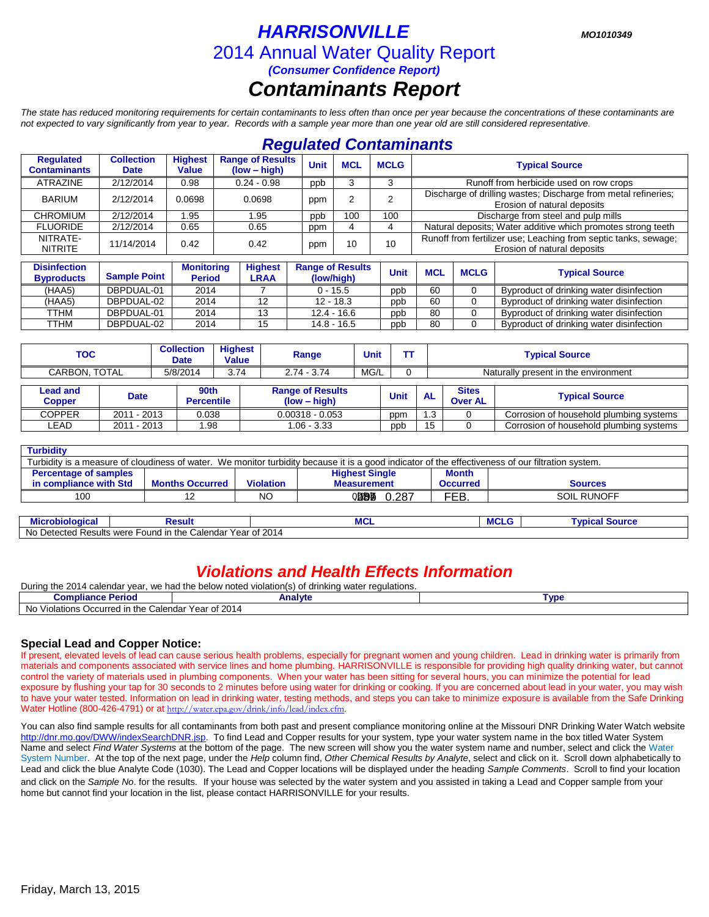### *HARRISONVILLE MO1010349* 2014 Annual Water Quality Report *(Consumer Confidence Report) Contaminants Report*

*The state has reduced monitoring requirements for certain contaminants to less often than once per year because the concentrations of these contaminants are not expected to vary significantly from year to year. Records with a sample year more than one year old are still considered representative.*

### *Regulated Contaminants*

| <b>Regulated</b><br><b>Contaminants</b>  | <b>Collection</b><br><b>Date</b> | <b>Highest</b><br><b>Value</b>     | <b>Range of Results</b><br>$(low - high)$ | <b>Unit</b><br><b>MCL</b><br><b>MCLG</b>                                                                              |     |             |                                                                                                | <b>Typical Source</b> |                                                              |  |                                          |
|------------------------------------------|----------------------------------|------------------------------------|-------------------------------------------|-----------------------------------------------------------------------------------------------------------------------|-----|-------------|------------------------------------------------------------------------------------------------|-----------------------|--------------------------------------------------------------|--|------------------------------------------|
| <b>ATRAZINE</b>                          | 2/12/2014                        | 0.98                               | $0.24 - 0.98$                             | 3<br>ppb                                                                                                              |     |             |                                                                                                |                       | Runoff from herbicide used on row crops                      |  |                                          |
| <b>BARIUM</b>                            | 2/12/2014                        | 0.0698                             | 0.0698                                    | Discharge of drilling wastes; Discharge from metal refineries;<br>$\mathcal{P}$<br>ppm<br>Erosion of natural deposits |     |             |                                                                                                |                       |                                                              |  |                                          |
| <b>CHROMIUM</b>                          | 2/12/2014                        | .95                                | 1.95                                      | ppb                                                                                                                   | 100 | 100         |                                                                                                |                       | Discharge from steel and pulp mills                          |  |                                          |
| <b>FLUORIDE</b>                          | 2/12/2014                        | 0.65                               | 0.65                                      | 4<br>ppm<br>4                                                                                                         |     |             |                                                                                                |                       | Natural deposits; Water additive which promotes strong teeth |  |                                          |
| NITRATE-<br><b>NITRITE</b>               | 11/14/2014                       | 0.42                               | 0.42                                      | 10<br>ppm                                                                                                             |     | 10          | Runoff from fertilizer use; Leaching from septic tanks, sewage;<br>Erosion of natural deposits |                       |                                                              |  |                                          |
| <b>Disinfection</b><br><b>Byproducts</b> | <b>Sample Point</b>              | <b>Monitoring</b><br><b>Period</b> | <b>Highest</b><br><b>LRAA</b>             | <b>Range of Results</b><br>(low/high)                                                                                 |     | <b>Unit</b> | <b>MCL</b>                                                                                     | <b>MCLG</b>           | <b>Typical Source</b>                                        |  |                                          |
| (HAA5)                                   | DBPDUAL-01                       | 2014                               |                                           | $0 - 15.5$                                                                                                            |     | ppb         | 60                                                                                             | 0                     | Byproduct of drinking water disinfection                     |  |                                          |
| (HAA5)                                   | DBPDUAL-02                       | 2014                               | 12                                        | $12 - 18.3$                                                                                                           |     | ppb         | 60                                                                                             | 0                     | Byproduct of drinking water disinfection                     |  |                                          |
| TTHM                                     | DBPDUAL-01                       | 2014                               | 13                                        | $12.4 - 16.6$                                                                                                         |     |             |                                                                                                | ppb                   | 80<br>$\Omega$                                               |  | Byproduct of drinking water disinfection |
| TTHM                                     | DBPDUAL-02                       | 2014                               | 15                                        | $14.8 - 16.5$                                                                                                         |     | ppb         | 80                                                                                             | $\Omega$              | Byproduct of drinking water disinfection                     |  |                                          |

| TOC                       |                                  |             | <b>Collection</b><br>Date | <b>Highest</b><br><b>Value</b> | Range | Unit                                      | ГΤ |      |                                      | <b>Typical Source</b>          |                                         |
|---------------------------|----------------------------------|-------------|---------------------------|--------------------------------|-------|-------------------------------------------|----|------|--------------------------------------|--------------------------------|-----------------------------------------|
| 5/8/2014<br>CARBON. TOTAL |                                  |             | 3.74                      | $2.74 - 3.74$                  | MG/L  |                                           |    |      | Naturally present in the environment |                                |                                         |
|                           | <b>Lead and</b><br><b>Copper</b> | <b>Date</b> |                           | 90th<br><b>Percentile</b>      |       | <b>Range of Results</b><br>$(low - high)$ |    | Unit | <b>AL</b>                            | <b>Sites</b><br><b>Over AL</b> | <b>Typical Source</b>                   |
|                           | <b>COPPER</b>                    | 2011 - 2013 |                           | 0.038                          |       | $0.00318 - 0.053$                         |    | ppm  | 1.3                                  |                                | Corrosion of household plumbing systems |
|                           | LEAD                             | 2011 - 2013 |                           | .98                            |       | $1.06 - 3.33$                             |    | ppb  | 15                                   |                                | Corrosion of household plumbing systems |

| <b>Turbidity</b>                                                                                                                                  |                        |                  |                       |                 |                |  |  |  |
|---------------------------------------------------------------------------------------------------------------------------------------------------|------------------------|------------------|-----------------------|-----------------|----------------|--|--|--|
| Turbidity is a measure of cloudiness of water. We monitor turbidity because it is a good indicator of the effectiveness of our filtration system. |                        |                  |                       |                 |                |  |  |  |
| <b>Percentage of samples</b>                                                                                                                      |                        |                  | <b>Highest Single</b> | <b>Month</b>    |                |  |  |  |
| in compliance with Std                                                                                                                            | <b>Months Occurred</b> | <b>Violation</b> | <b>Measurement</b>    | <b>Occurred</b> | <b>Sources</b> |  |  |  |
| 100                                                                                                                                               |                        | NO               | 02284546<br>0.287     | <b>FEB</b>      | SOIL RUNOFF    |  |  |  |

| Microbiological              | Result                                       | <b>MCL</b>   | . | <b>TVDICar</b><br>$\sim$ $\sim$ $\sim$ $\sim$<br>oource |
|------------------------------|----------------------------------------------|--------------|---|---------------------------------------------------------|
| No.<br>Detected<br>' Results | Calendar<br>ገ the<br>were<br><b>∽ound</b> ⊪. | Year of 2014 |   |                                                         |

### *Violations and Health Effects Information*

| During the<br>201<br>r calendar vear.<br>the below noted violation(s) of<br>we had<br>drinking water regulations.<br>ZU 14 |         |                 |  |  |  |  |  |
|----------------------------------------------------------------------------------------------------------------------------|---------|-----------------|--|--|--|--|--|
| <b>Compliance Period</b>                                                                                                   | Analvte | VD <sub>6</sub> |  |  |  |  |  |
| <b>No</b><br>S Occurred in the Calendar Year of 2014<br>Violations <b>f</b>                                                |         |                 |  |  |  |  |  |

### **Special Lead and Copper Notice:**

If present, elevated levels of lead can cause serious health problems, especially for pregnant women and young children. Lead in drinking water is primarily from materials and components associated with service lines and home plumbing. HARRISONVILLE is responsible for providing high quality drinking water, but cannot control the variety of materials used in plumbing components. When your water has been sitting for several hours, you can minimize the potential for lead exposure by flushing your tap for 30 seconds to 2 minutes before using water for drinking or cooking. If you are concerned about lead in your water, you may wish to have your water tested. Information on lead in drinking water, testing methods, and steps you can take to minimize exposure is available from the Safe Drinking Water Hotline (800-426-4791) or at [http://water.epa.gov/drink/info/lead/index.cfm.](http://water.epa.gov/drink/info/lead/index.cfm)

You can also find sample results for all contaminants from both past and present compliance monitoring online at the Missouri DNR Drinking Water Watch website [http://dnr.mo.gov/DWW/indexSearchDNR.jsp.](http://dnr.mo.gov/DWW/indexSearchDNR.jsp) To find Lead and Copper results for your system, type your water system name in the box titled Water System Name and select *Find Water Systems* at the bottom of the page. The new screen will show you the water system name and number, select and click the Water System Number. At the top of the next page, under the *Help* column find, *Other Chemical Results by Analyte*, select and click on it. Scroll down alphabetically to Lead and click the blue Analyte Code (1030). The Lead and Copper locations will be displayed under the heading *Sample Comments*. Scroll to find your location and click on the *Sample No*. for the results. If your house was selected by the water system and you assisted in taking a Lead and Copper sample from your home but cannot find your location in the list, please contact HARRISONVILLE for your results.